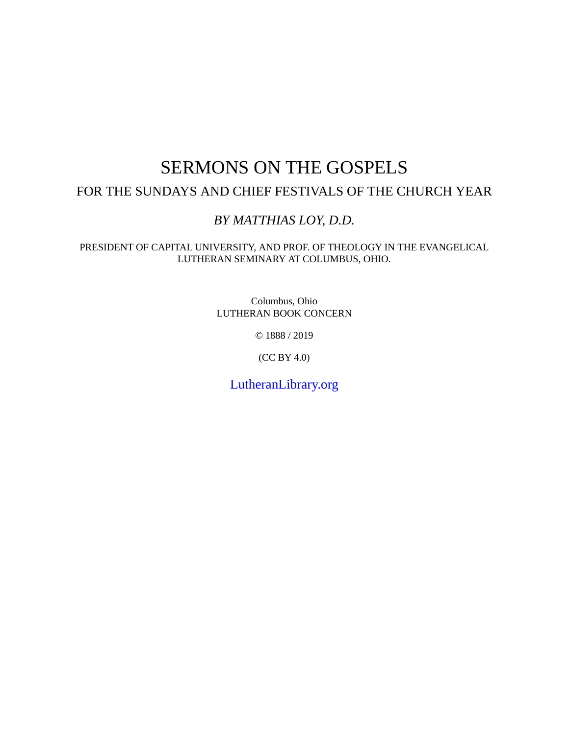### SERMONS ON THE GOSPELS FOR THE SUNDAYS AND CHIEF FESTIVALS OF THE CHURCH YEAR

### *BY MATTHIAS LOY, D.D.*

PRESIDENT OF CAPITAL UNIVERSITY, AND PROF. OF THEOLOGY IN THE EVANGELICAL LUTHERAN SEMINARY AT COLUMBUS, OHIO.

> Columbus, Ohio LUTHERAN BOOK CONCERN

> > © 1888 / 2019

(CC BY 4.0)

[LutheranLibrary.org](http://www.lutheranlibrary.org)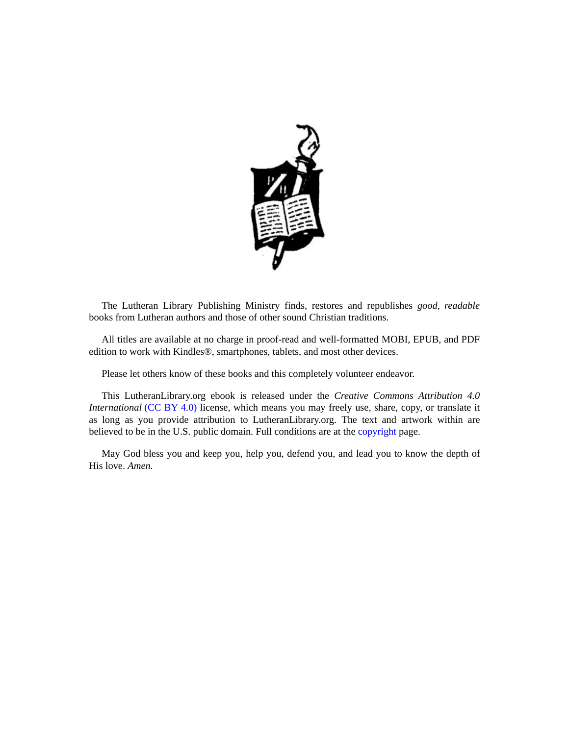

The Lutheran Library Publishing Ministry finds, restores and republishes *good*, *readable* books from Lutheran authors and those of other sound Christian traditions.

All titles are available at no charge in proof-read and well-formatted MOBI, EPUB, and PDF edition to work with Kindles®, smartphones, tablets, and most other devices.

Please let others know of these books and this completely volunteer endeavor.

This LutheranLibrary.org ebook is released under the *Creative Commons Attribution 4.0 International* [\(CC](https://creativecommons.org/licenses/by/4.0/) BY 4.0) license, which means you may freely use, share, copy, or translate it as long as you provide attribution to LutheranLibrary.org. The text and artwork within are believed to be in the U.S. public domain. Full conditions are at the [copyright](#page-14-0) page.

May God bless you and keep you, help you, defend you, and lead you to know the depth of His love. *Amen.*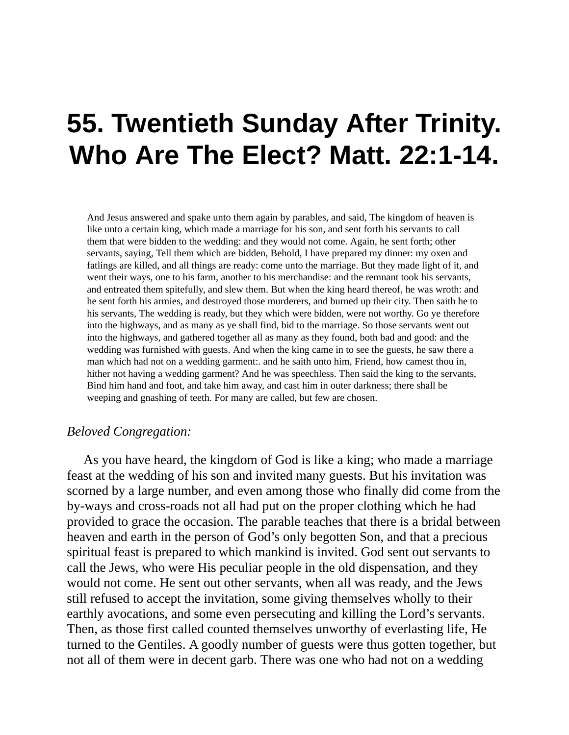# **55. Twentieth Sunday After Trinity. Who Are The Elect? Matt. 22:1-14.**

And Jesus answered and spake unto them again by parables, and said, The kingdom of heaven is like unto a certain king, which made a marriage for his son, and sent forth his servants to call them that were bidden to the wedding: and they would not come. Again, he sent forth; other servants, saying, Tell them which are bidden, Behold, I have prepared my dinner: my oxen and fatlings are killed, and all things are ready: come unto the marriage. But they made light of it, and went their ways, one to his farm, another to his merchandise: and the remnant took his servants, and entreated them spitefully, and slew them. But when the king heard thereof, he was wroth: and he sent forth his armies, and destroyed those murderers, and burned up their city. Then saith he to his servants, The wedding is ready, but they which were bidden, were not worthy. Go ye therefore into the highways, and as many as ye shall find, bid to the marriage. So those servants went out into the highways, and gathered together all as many as they found, both bad and good: and the wedding was furnished with guests. And when the king came in to see the guests, he saw there a man which had not on a wedding garment:. and he saith unto him, Friend, how camest thou in, hither not having a wedding garment? And he was speechless. Then said the king to the servants, Bind him hand and foot, and take him away, and cast him in outer darkness; there shall be weeping and gnashing of teeth. For many are called, but few are chosen.

### *Beloved Congregation:*

As you have heard, the kingdom of God is like a king; who made a marriage feast at the wedding of his son and invited many guests. But his invitation was scorned by a large number, and even among those who finally did come from the by-ways and cross-roads not all had put on the proper clothing which he had provided to grace the occasion. The parable teaches that there is a bridal between heaven and earth in the person of God's only begotten Son, and that a precious spiritual feast is prepared to which mankind is invited. God sent out servants to call the Jews, who were His peculiar people in the old dispensation, and they would not come. He sent out other servants, when all was ready, and the Jews still refused to accept the invitation, some giving themselves wholly to their earthly avocations, and some even persecuting and killing the Lord's servants. Then, as those first called counted themselves unworthy of everlasting life, He turned to the Gentiles. A goodly number of guests were thus gotten together, but not all of them were in decent garb. There was one who had not on a wedding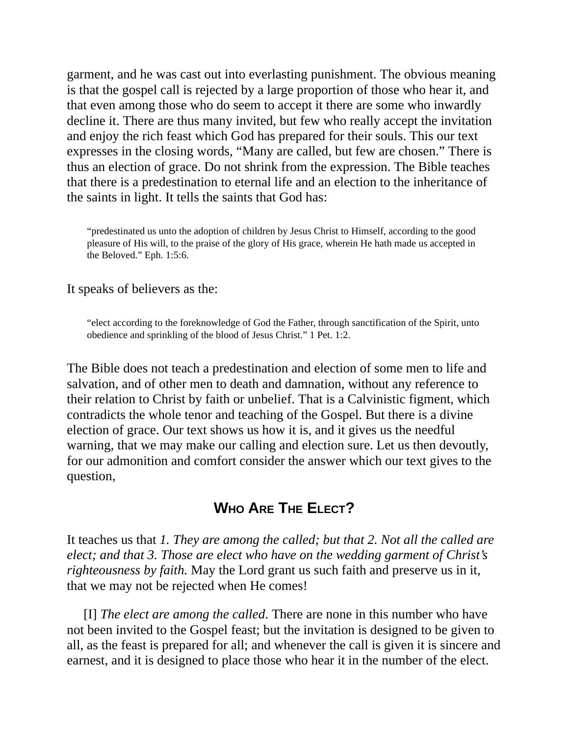garment, and he was cast out into everlasting punishment. The obvious meaning is that the gospel call is rejected by a large proportion of those who hear it, and that even among those who do seem to accept it there are some who inwardly decline it. There are thus many invited, but few who really accept the invitation and enjoy the rich feast which God has prepared for their souls. This our text expresses in the closing words, "Many are called, but few are chosen." There is thus an election of grace. Do not shrink from the expression. The Bible teaches that there is a predestination to eternal life and an election to the inheritance of the saints in light. It tells the saints that God has:

"predestinated us unto the adoption of children by Jesus Christ to Himself, according to the good pleasure of His will, to the praise of the glory of His grace, wherein He hath made us accepted in the Beloved." Eph. 1:5:6.

It speaks of believers as the:

"elect according to the foreknowledge of God the Father, through sanctification of the Spirit, unto obedience and sprinkling of the blood of Jesus Christ." 1 Pet. 1:2.

The Bible does not teach a predestination and election of some men to life and salvation, and of other men to death and damnation, without any reference to their relation to Christ by faith or unbelief. That is a Calvinistic figment, which contradicts the whole tenor and teaching of the Gospel. But there is a divine election of grace. Our text shows us how it is, and it gives us the needful warning, that we may make our calling and election sure. Let us then devoutly, for our admonition and comfort consider the answer which our text gives to the question,

### **WHO ARE THE ELECT?**

It teaches us that *1. They are among the called; but that 2. Not all the called are elect; and that 3. Those are elect who have on the wedding garment of Christ's righteousness by faith.* May the Lord grant us such faith and preserve us in it, that we may not be rejected when He comes!

[I] *The elect are among the called*. There are none in this number who have not been invited to the Gospel feast; but the invitation is designed to be given to all, as the feast is prepared for all; and whenever the call is given it is sincere and earnest, and it is designed to place those who hear it in the number of the elect.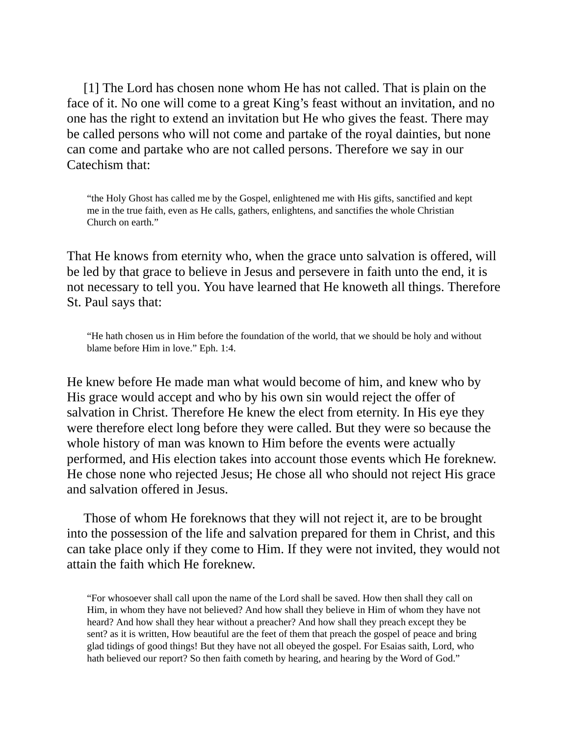[1] The Lord has chosen none whom He has not called. That is plain on the face of it. No one will come to a great King's feast without an invitation, and no one has the right to extend an invitation but He who gives the feast. There may be called persons who will not come and partake of the royal dainties, but none can come and partake who are not called persons. Therefore we say in our Catechism that:

"the Holy Ghost has called me by the Gospel, enlightened me with His gifts, sanctified and kept me in the true faith, even as He calls, gathers, enlightens, and sanctifies the whole Christian Church on earth."

That He knows from eternity who, when the grace unto salvation is offered, will be led by that grace to believe in Jesus and persevere in faith unto the end, it is not necessary to tell you. You have learned that He knoweth all things. Therefore St. Paul says that:

"He hath chosen us in Him before the foundation of the world, that we should be holy and without blame before Him in love." Eph. 1:4.

He knew before He made man what would become of him, and knew who by His grace would accept and who by his own sin would reject the offer of salvation in Christ. Therefore He knew the elect from eternity. In His eye they were therefore elect long before they were called. But they were so because the whole history of man was known to Him before the events were actually performed, and His election takes into account those events which He foreknew. He chose none who rejected Jesus; He chose all who should not reject His grace and salvation offered in Jesus.

Those of whom He foreknows that they will not reject it, are to be brought into the possession of the life and salvation prepared for them in Christ, and this can take place only if they come to Him. If they were not invited, they would not attain the faith which He foreknew.

"For whosoever shall call upon the name of the Lord shall be saved. How then shall they call on Him, in whom they have not believed? And how shall they believe in Him of whom they have not heard? And how shall they hear without a preacher? And how shall they preach except they be sent? as it is written, How beautiful are the feet of them that preach the gospel of peace and bring glad tidings of good things! But they have not all obeyed the gospel. For Esaias saith, Lord, who hath believed our report? So then faith cometh by hearing, and hearing by the Word of God."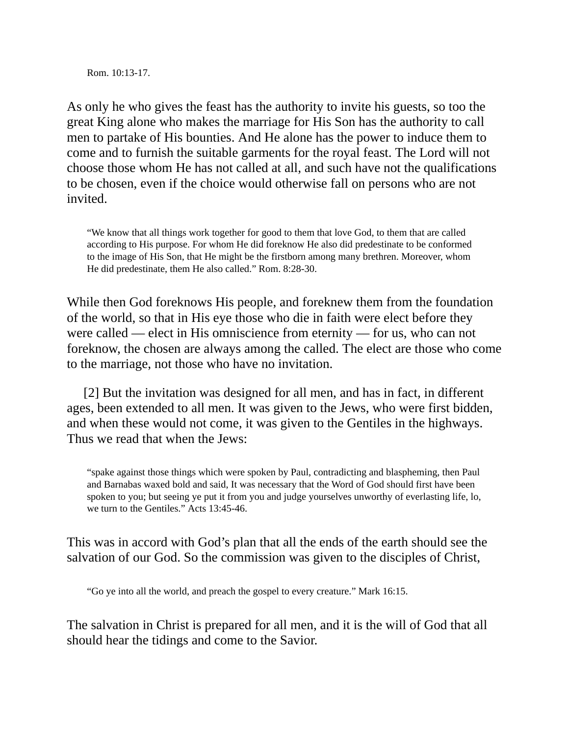Rom. 10:13-17.

As only he who gives the feast has the authority to invite his guests, so too the great King alone who makes the marriage for His Son has the authority to call men to partake of His bounties. And He alone has the power to induce them to come and to furnish the suitable garments for the royal feast. The Lord will not choose those whom He has not called at all, and such have not the qualifications to be chosen, even if the choice would otherwise fall on persons who are not invited.

"We know that all things work together for good to them that love God, to them that are called according to His purpose. For whom He did foreknow He also did predestinate to be conformed to the image of His Son, that He might be the firstborn among many brethren. Moreover, whom He did predestinate, them He also called." Rom. 8:28-30.

While then God foreknows His people, and foreknew them from the foundation of the world, so that in His eye those who die in faith were elect before they were called — elect in His omniscience from eternity — for us, who can not foreknow, the chosen are always among the called. The elect are those who come to the marriage, not those who have no invitation.

[2] But the invitation was designed for all men, and has in fact, in different ages, been extended to all men. It was given to the Jews, who were first bidden, and when these would not come, it was given to the Gentiles in the highways. Thus we read that when the Jews:

"spake against those things which were spoken by Paul, contradicting and blaspheming, then Paul and Barnabas waxed bold and said, It was necessary that the Word of God should first have been spoken to you; but seeing ye put it from you and judge yourselves unworthy of everlasting life, lo, we turn to the Gentiles." Acts 13:45-46.

This was in accord with God's plan that all the ends of the earth should see the salvation of our God. So the commission was given to the disciples of Christ,

"Go ye into all the world, and preach the gospel to every creature." Mark 16:15.

The salvation in Christ is prepared for all men, and it is the will of God that all should hear the tidings and come to the Savior.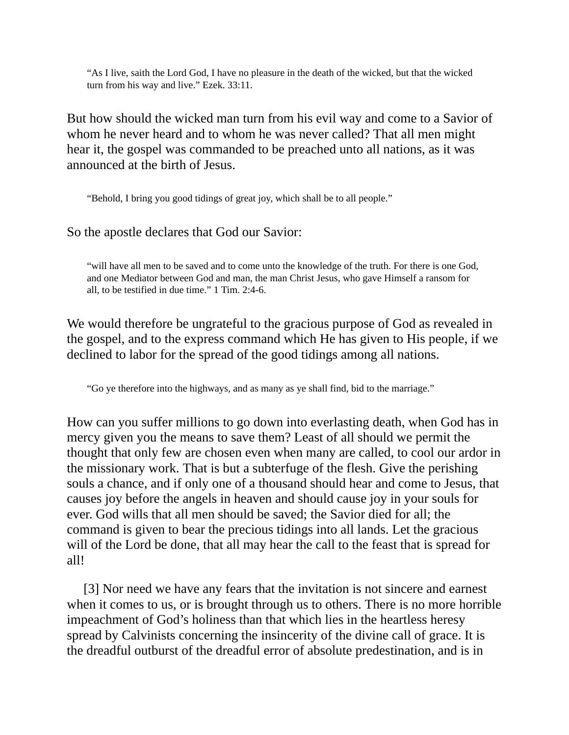"As I live, saith the Lord God, I have no pleasure in the death of the wicked, but that the wicked turn from his way and live." Ezek. 33:11.

But how should the wicked man turn from his evil way and come to a Savior of whom he never heard and to whom he was never called? That all men might hear it, the gospel was commanded to be preached unto all nations, as it was announced at the birth of Jesus.

"Behold, I bring you good tidings of great joy, which shall be to all people."

So the apostle declares that God our Savior:

"will have all men to be saved and to come unto the knowledge of the truth. For there is one God, and one Mediator between God and man, the man Christ Jesus, who gave Himself a ransom for all, to be testified in due time." 1 Tim. 2:4-6.

We would therefore be ungrateful to the gracious purpose of God as revealed in the gospel, and to the express command which He has given to His people, if we declined to labor for the spread of the good tidings among all nations.

"Go ye therefore into the highways, and as many as ye shall find, bid to the marriage."

How can you suffer millions to go down into everlasting death, when God has in mercy given you the means to save them? Least of all should we permit the thought that only few are chosen even when many are called, to cool our ardor in the missionary work. That is but a subterfuge of the flesh. Give the perishing souls a chance, and if only one of a thousand should hear and come to Jesus, that causes joy before the angels in heaven and should cause joy in your souls for ever. God wills that all men should be saved; the Savior died for all; the command is given to bear the precious tidings into all lands. Let the gracious will of the Lord be done, that all may hear the call to the feast that is spread for all!

[3] Nor need we have any fears that the invitation is not sincere and earnest when it comes to us, or is brought through us to others. There is no more horrible impeachment of God's holiness than that which lies in the heartless heresy spread by Calvinists concerning the insincerity of the divine call of grace. It is the dreadful outburst of the dreadful error of absolute predestination, and is in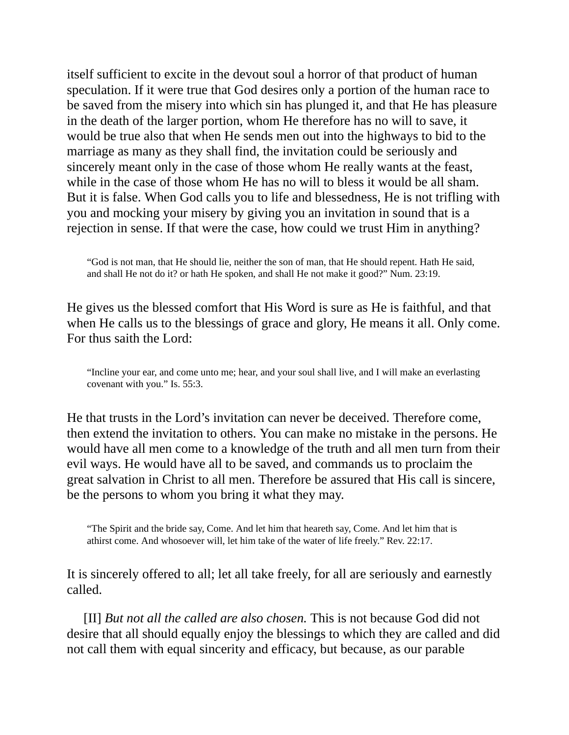itself sufficient to excite in the devout soul a horror of that product of human speculation. If it were true that God desires only a portion of the human race to be saved from the misery into which sin has plunged it, and that He has pleasure in the death of the larger portion, whom He therefore has no will to save, it would be true also that when He sends men out into the highways to bid to the marriage as many as they shall find, the invitation could be seriously and sincerely meant only in the case of those whom He really wants at the feast, while in the case of those whom He has no will to bless it would be all sham. But it is false. When God calls you to life and blessedness, He is not trifling with you and mocking your misery by giving you an invitation in sound that is a rejection in sense. If that were the case, how could we trust Him in anything?

"God is not man, that He should lie, neither the son of man, that He should repent. Hath He said, and shall He not do it? or hath He spoken, and shall He not make it good?" Num. 23:19.

He gives us the blessed comfort that His Word is sure as He is faithful, and that when He calls us to the blessings of grace and glory, He means it all. Only come. For thus saith the Lord:

"Incline your ear, and come unto me; hear, and your soul shall live, and I will make an everlasting covenant with you." Is. 55:3.

He that trusts in the Lord's invitation can never be deceived. Therefore come, then extend the invitation to others. You can make no mistake in the persons. He would have all men come to a knowledge of the truth and all men turn from their evil ways. He would have all to be saved, and commands us to proclaim the great salvation in Christ to all men. Therefore be assured that His call is sincere, be the persons to whom you bring it what they may.

"The Spirit and the bride say, Come. And let him that heareth say, Come. And let him that is athirst come. And whosoever will, let him take of the water of life freely." Rev. 22:17.

It is sincerely offered to all; let all take freely, for all are seriously and earnestly called.

[II] *But not all the called are also chosen.* This is not because God did not desire that all should equally enjoy the blessings to which they are called and did not call them with equal sincerity and efficacy, but because, as our parable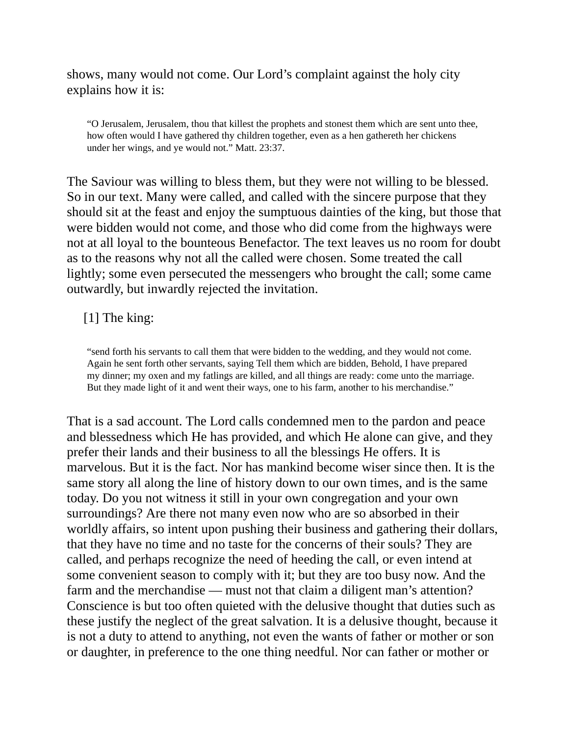shows, many would not come. Our Lord's complaint against the holy city explains how it is:

"O Jerusalem, Jerusalem, thou that killest the prophets and stonest them which are sent unto thee, how often would I have gathered thy children together, even as a hen gathereth her chickens under her wings, and ye would not." Matt. 23:37.

The Saviour was willing to bless them, but they were not willing to be blessed. So in our text. Many were called, and called with the sincere purpose that they should sit at the feast and enjoy the sumptuous dainties of the king, but those that were bidden would not come, and those who did come from the highways were not at all loyal to the bounteous Benefactor. The text leaves us no room for doubt as to the reasons why not all the called were chosen. Some treated the call lightly; some even persecuted the messengers who brought the call; some came outwardly, but inwardly rejected the invitation.

### [1] The king:

"send forth his servants to call them that were bidden to the wedding, and they would not come. Again he sent forth other servants, saying Tell them which are bidden, Behold, I have prepared my dinner; my oxen and my fatlings are killed, and all things are ready: come unto the marriage. But they made light of it and went their ways, one to his farm, another to his merchandise."

That is a sad account. The Lord calls condemned men to the pardon and peace and blessedness which He has provided, and which He alone can give, and they prefer their lands and their business to all the blessings He offers. It is marvelous. But it is the fact. Nor has mankind become wiser since then. It is the same story all along the line of history down to our own times, and is the same today. Do you not witness it still in your own congregation and your own surroundings? Are there not many even now who are so absorbed in their worldly affairs, so intent upon pushing their business and gathering their dollars, that they have no time and no taste for the concerns of their souls? They are called, and perhaps recognize the need of heeding the call, or even intend at some convenient season to comply with it; but they are too busy now. And the farm and the merchandise — must not that claim a diligent man's attention? Conscience is but too often quieted with the delusive thought that duties such as these justify the neglect of the great salvation. It is a delusive thought, because it is not a duty to attend to anything, not even the wants of father or mother or son or daughter, in preference to the one thing needful. Nor can father or mother or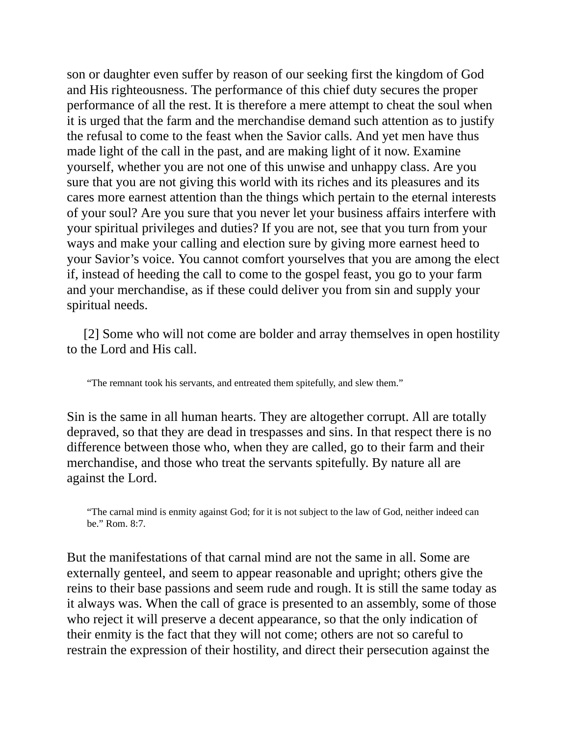son or daughter even suffer by reason of our seeking first the kingdom of God and His righteousness. The performance of this chief duty secures the proper performance of all the rest. It is therefore a mere attempt to cheat the soul when it is urged that the farm and the merchandise demand such attention as to justify the refusal to come to the feast when the Savior calls. And yet men have thus made light of the call in the past, and are making light of it now. Examine yourself, whether you are not one of this unwise and unhappy class. Are you sure that you are not giving this world with its riches and its pleasures and its cares more earnest attention than the things which pertain to the eternal interests of your soul? Are you sure that you never let your business affairs interfere with your spiritual privileges and duties? If you are not, see that you turn from your ways and make your calling and election sure by giving more earnest heed to your Savior's voice. You cannot comfort yourselves that you are among the elect if, instead of heeding the call to come to the gospel feast, you go to your farm and your merchandise, as if these could deliver you from sin and supply your spiritual needs.

[2] Some who will not come are bolder and array themselves in open hostility to the Lord and His call.

"The remnant took his servants, and entreated them spitefully, and slew them."

Sin is the same in all human hearts. They are altogether corrupt. All are totally depraved, so that they are dead in trespasses and sins. In that respect there is no difference between those who, when they are called, go to their farm and their merchandise, and those who treat the servants spitefully. By nature all are against the Lord.

"The carnal mind is enmity against God; for it is not subject to the law of God, neither indeed can be." Rom. 8:7.

But the manifestations of that carnal mind are not the same in all. Some are externally genteel, and seem to appear reasonable and upright; others give the reins to their base passions and seem rude and rough. It is still the same today as it always was. When the call of grace is presented to an assembly, some of those who reject it will preserve a decent appearance, so that the only indication of their enmity is the fact that they will not come; others are not so careful to restrain the expression of their hostility, and direct their persecution against the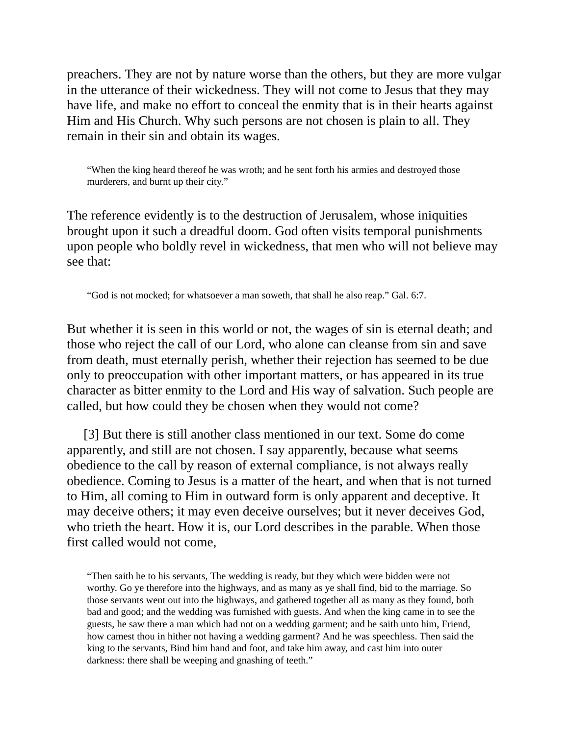preachers. They are not by nature worse than the others, but they are more vulgar in the utterance of their wickedness. They will not come to Jesus that they may have life, and make no effort to conceal the enmity that is in their hearts against Him and His Church. Why such persons are not chosen is plain to all. They remain in their sin and obtain its wages.

"When the king heard thereof he was wroth; and he sent forth his armies and destroyed those murderers, and burnt up their city."

The reference evidently is to the destruction of Jerusalem, whose iniquities brought upon it such a dreadful doom. God often visits temporal punishments upon people who boldly revel in wickedness, that men who will not believe may see that:

"God is not mocked; for whatsoever a man soweth, that shall he also reap." Gal. 6:7.

But whether it is seen in this world or not, the wages of sin is eternal death; and those who reject the call of our Lord, who alone can cleanse from sin and save from death, must eternally perish, whether their rejection has seemed to be due only to preoccupation with other important matters, or has appeared in its true character as bitter enmity to the Lord and His way of salvation. Such people are called, but how could they be chosen when they would not come?

[3] But there is still another class mentioned in our text. Some do come apparently, and still are not chosen. I say apparently, because what seems obedience to the call by reason of external compliance, is not always really obedience. Coming to Jesus is a matter of the heart, and when that is not turned to Him, all coming to Him in outward form is only apparent and deceptive. It may deceive others; it may even deceive ourselves; but it never deceives God, who trieth the heart. How it is, our Lord describes in the parable. When those first called would not come,

"Then saith he to his servants, The wedding is ready, but they which were bidden were not worthy. Go ye therefore into the highways, and as many as ye shall find, bid to the marriage. So those servants went out into the highways, and gathered together all as many as they found, both bad and good; and the wedding was furnished with guests. And when the king came in to see the guests, he saw there a man which had not on a wedding garment; and he saith unto him, Friend, how camest thou in hither not having a wedding garment? And he was speechless. Then said the king to the servants, Bind him hand and foot, and take him away, and cast him into outer darkness: there shall be weeping and gnashing of teeth."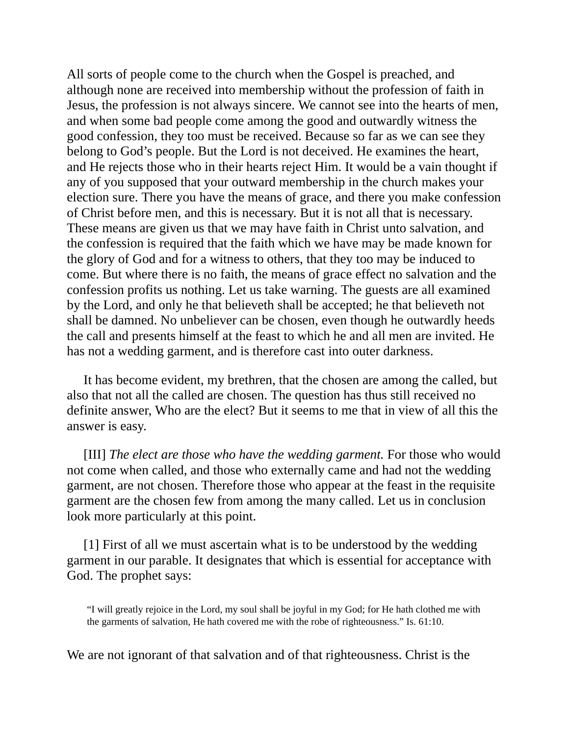All sorts of people come to the church when the Gospel is preached, and although none are received into membership without the profession of faith in Jesus, the profession is not always sincere. We cannot see into the hearts of men, and when some bad people come among the good and outwardly witness the good confession, they too must be received. Because so far as we can see they belong to God's people. But the Lord is not deceived. He examines the heart, and He rejects those who in their hearts reject Him. It would be a vain thought if any of you supposed that your outward membership in the church makes your election sure. There you have the means of grace, and there you make confession of Christ before men, and this is necessary. But it is not all that is necessary. These means are given us that we may have faith in Christ unto salvation, and the confession is required that the faith which we have may be made known for the glory of God and for a witness to others, that they too may be induced to come. But where there is no faith, the means of grace effect no salvation and the confession profits us nothing. Let us take warning. The guests are all examined by the Lord, and only he that believeth shall be accepted; he that believeth not shall be damned. No unbeliever can be chosen, even though he outwardly heeds the call and presents himself at the feast to which he and all men are invited. He has not a wedding garment, and is therefore cast into outer darkness.

It has become evident, my brethren, that the chosen are among the called, but also that not all the called are chosen. The question has thus still received no definite answer, Who are the elect? But it seems to me that in view of all this the answer is easy.

[ΙΙΙ] *The elect are those who have the wedding garment.* For those who would not come when called, and those who externally came and had not the wedding garment, are not chosen. Therefore those who appear at the feast in the requisite garment are the chosen few from among the many called. Let us in conclusion look more particularly at this point.

[1] First of all we must ascertain what is to be understood by the wedding garment in our parable. It designates that which is essential for acceptance with God. The prophet says:

"I will greatly rejoice in the Lord, my soul shall be joyful in my God; for He hath clothed me with the garments of salvation, He hath covered me with the robe of righteousness." Is. 61:10.

We are not ignorant of that salvation and of that righteousness. Christ is the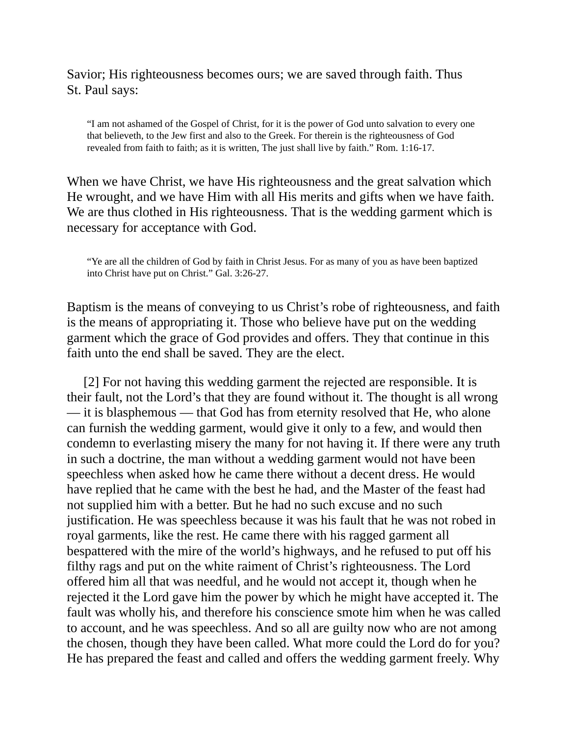Savior; His righteousness becomes ours; we are saved through faith. Thus St. Paul says:

"I am not ashamed of the Gospel of Christ, for it is the power of God unto salvation to every one that believeth, to the Jew first and also to the Greek. For therein is the righteousness of God revealed from faith to faith; as it is written, The just shall live by faith." Rom. 1:16-17.

When we have Christ, we have His righteousness and the great salvation which He wrought, and we have Him with all His merits and gifts when we have faith. We are thus clothed in His righteousness. That is the wedding garment which is necessary for acceptance with God.

"Ye are all the children of God by faith in Christ Jesus. For as many of you as have been baptized into Christ have put on Christ." Gal. 3:26-27.

Baptism is the means of conveying to us Christ's robe of righteousness, and faith is the means of appropriating it. Those who believe have put on the wedding garment which the grace of God provides and offers. They that continue in this faith unto the end shall be saved. They are the elect.

[2] For not having this wedding garment the rejected are responsible. It is their fault, not the Lord's that they are found without it. The thought is all wrong — it is blasphemous — that God has from eternity resolved that He, who alone can furnish the wedding garment, would give it only to a few, and would then condemn to everlasting misery the many for not having it. If there were any truth in such a doctrine, the man without a wedding garment would not have been speechless when asked how he came there without a decent dress. He would have replied that he came with the best he had, and the Master of the feast had not supplied him with a better. But he had no such excuse and no such justification. He was speechless because it was his fault that he was not robed in royal garments, like the rest. He came there with his ragged garment all bespattered with the mire of the world's highways, and he refused to put off his filthy rags and put on the white raiment of Christ's righteousness. The Lord offered him all that was needful, and he would not accept it, though when he rejected it the Lord gave him the power by which he might have accepted it. The fault was wholly his, and therefore his conscience smote him when he was called to account, and he was speechless. And so all are guilty now who are not among the chosen, though they have been called. What more could the Lord do for you? He has prepared the feast and called and offers the wedding garment freely. Why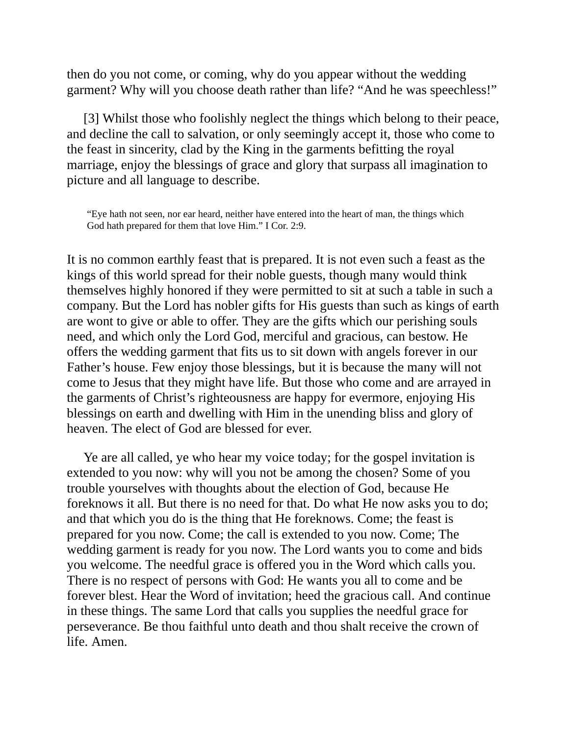then do you not come, or coming, why do you appear without the wedding garment? Why will you choose death rather than life? "And he was speechless!"

[3] Whilst those who foolishly neglect the things which belong to their peace, and decline the call to salvation, or only seemingly accept it, those who come to the feast in sincerity, clad by the King in the garments befitting the royal marriage, enjoy the blessings of grace and glory that surpass all imagination to picture and all language to describe.

"Eye hath not seen, nor ear heard, neither have entered into the heart of man, the things which God hath prepared for them that love Him." I Cor. 2:9.

It is no common earthly feast that is prepared. It is not even such a feast as the kings of this world spread for their noble guests, though many would think themselves highly honored if they were permitted to sit at such a table in such a company. But the Lord has nobler gifts for His guests than such as kings of earth are wont to give or able to offer. They are the gifts which our perishing souls need, and which only the Lord God, merciful and gracious, can bestow. He offers the wedding garment that fits us to sit down with angels forever in our Father's house. Few enjoy those blessings, but it is because the many will not come to Jesus that they might have life. But those who come and are arrayed in the garments of Christ's righteousness are happy for evermore, enjoying His blessings on earth and dwelling with Him in the unending bliss and glory of heaven. The elect of God are blessed for ever.

Ye are all called, ye who hear my voice today; for the gospel invitation is extended to you now: why will you not be among the chosen? Some of you trouble yourselves with thoughts about the election of God, because He foreknows it all. But there is no need for that. Do what He now asks you to do; and that which you do is the thing that He foreknows. Come; the feast is prepared for you now. Come; the call is extended to you now. Come; The wedding garment is ready for you now. The Lord wants you to come and bids you welcome. The needful grace is offered you in the Word which calls you. There is no respect of persons with God: He wants you all to come and be forever blest. Hear the Word of invitation; heed the gracious call. And continue in these things. The same Lord that calls you supplies the needful grace for perseverance. Be thou faithful unto death and thou shalt receive the crown of life. Amen.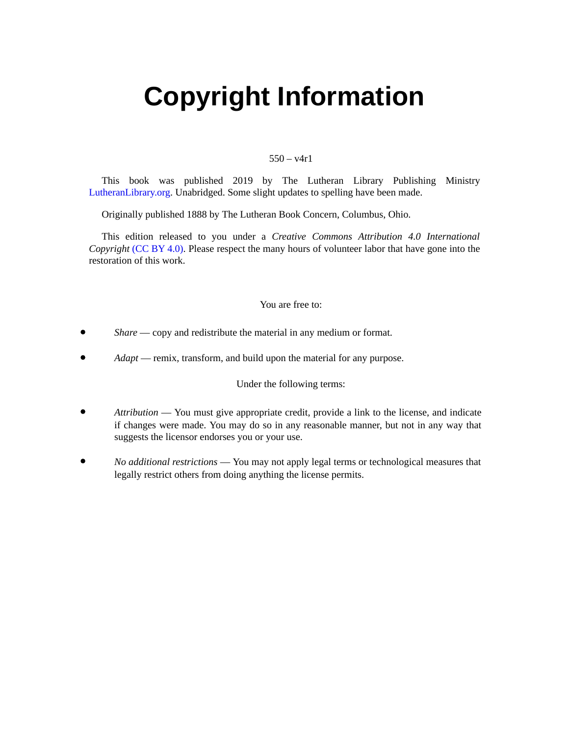# <span id="page-14-0"></span>**Copyright Information**

#### $550 - v4r1$

This book was published 2019 by The Lutheran Library Publishing Ministry [LutheranLibrary.org](http://www.lutheranlibrary.org). Unabridged. Some slight updates to spelling have been made.

Originally published 1888 by The Lutheran Book Concern, Columbus, Ohio.

This edition released to you under a *Creative Commons Attribution 4.0 International Copyright* [\(CC](https://creativecommons.org/licenses/by/4.0/) BY 4.0). Please respect the many hours of volunteer labor that have gone into the restoration of this work.

#### You are free to:

- $\bullet$ *Share* — copy and redistribute the material in any medium or format.
- *Adapt* remix, transform, and build upon the material for any purpose.

Under the following terms:

- $\bullet$ *Attribution* — You must give appropriate credit, provide a link to the license, and indicate if changes were made. You may do so in any reasonable manner, but not in any way that suggests the licensor endorses you or your use.
- $\bullet$ *No additional restrictions* — You may not apply legal terms or technological measures that legally restrict others from doing anything the license permits.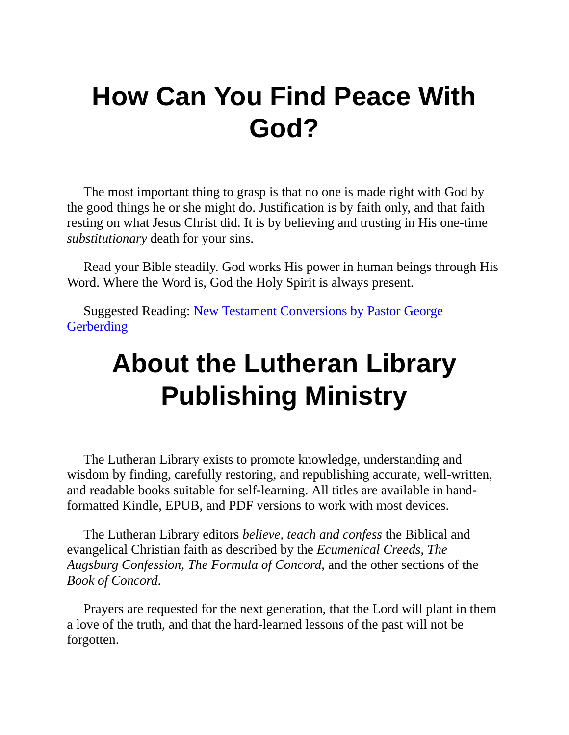# **How Can You Find Peace With God?**

The most important thing to grasp is that no one is made right with God by the good things he or she might do. Justification is by faith only, and that faith resting on what Jesus Christ did. It is by believing and trusting in His one-time *substitutionary* death for your sins.

Read your Bible steadily. God works His power in human beings through His Word. Where the Word is, God the Holy Spirit is always present.

Suggested Reading: New Testament [Conversions](https://www.lutheranlibrary.org/103tc-gerberding-new-testament-conversions/) by Pastor George **Gerberding** 

# **About the Lutheran Library Publishing Ministry**

The Lutheran Library exists to promote knowledge, understanding and wisdom by finding, carefully restoring, and republishing accurate, well-written, and readable books suitable for self-learning. All titles are available in handformatted Kindle, EPUB, and PDF versions to work with most devices.

The Lutheran Library editors *believe, teach and confess* the Biblical and evangelical Christian faith as described by the *Ecumenical Creeds*, *The Augsburg Confession*, *The Formula of Concord*, and the other sections of the *Book of Concord*.

Prayers are requested for the next generation, that the Lord will plant in them a love of the truth, and that the hard-learned lessons of the past will not be forgotten.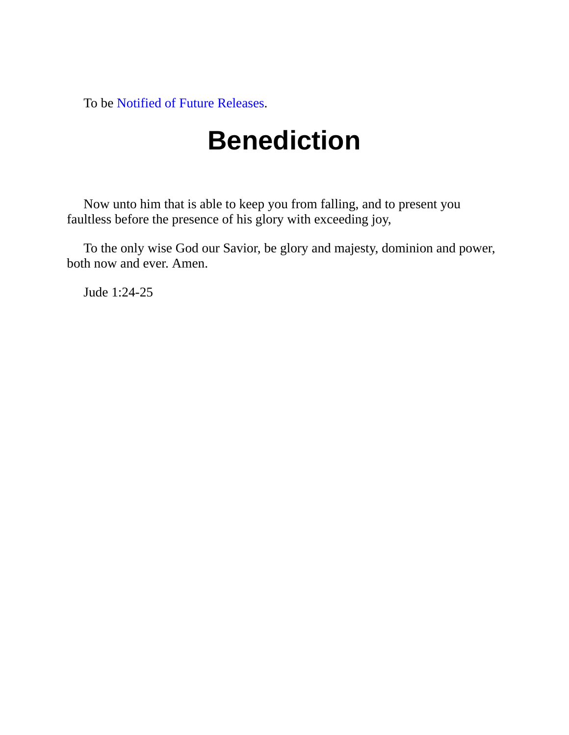To be Notified of Future [Releases](https://www.lutheranlibrary.org/subscribe/).

# **Benediction**

Now unto him that is able to keep you from falling, and to present you faultless before the presence of his glory with exceeding joy,

To the only wise God our Savior, be glory and majesty, dominion and power, both now and ever. Amen.

Jude 1:24-25